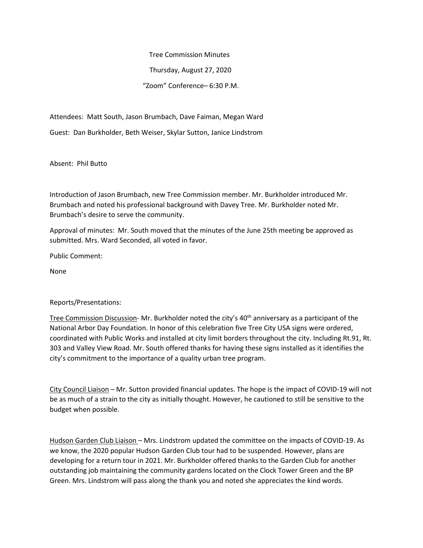Tree Commission Minutes

Thursday, August 27, 2020

"Zoom" Conference– 6:30 P.M.

Attendees: Matt South, Jason Brumbach, Dave Faiman, Megan Ward

Guest: Dan Burkholder, Beth Weiser, Skylar Sutton, Janice Lindstrom

Absent: Phil Butto

Introduction of Jason Brumbach, new Tree Commission member. Mr. Burkholder introduced Mr. Brumbach and noted his professional background with Davey Tree. Mr. Burkholder noted Mr. Brumbach's desire to serve the community.

Approval of minutes: Mr. South moved that the minutes of the June 25th meeting be approved as submitted. Mrs. Ward Seconded, all voted in favor.

Public Comment:

None

## Reports/Presentations:

Tree Commission Discussion- Mr. Burkholder noted the city's 40<sup>th</sup> anniversary as a participant of the National Arbor Day Foundation. In honor of this celebration five Tree City USA signs were ordered, coordinated with Public Works and installed at city limit borders throughout the city. Including Rt.91, Rt. 303 and Valley View Road. Mr. South offered thanks for having these signs installed as it identifies the city's commitment to the importance of a quality urban tree program.

City Council Liaison – Mr. Sutton provided financial updates. The hope is the impact of COVID-19 will not be as much of a strain to the city as initially thought. However, he cautioned to still be sensitive to the budget when possible.

Hudson Garden Club Liaison – Mrs. Lindstrom updated the committee on the impacts of COVID-19. As we know, the 2020 popular Hudson Garden Club tour had to be suspended. However, plans are developing for a return tour in 2021. Mr. Burkholder offered thanks to the Garden Club for another outstanding job maintaining the community gardens located on the Clock Tower Green and the BP Green. Mrs. Lindstrom will pass along the thank you and noted she appreciates the kind words.